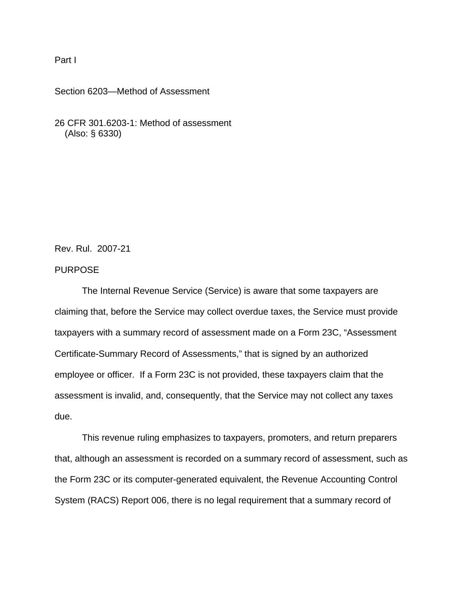## Part I

#### Section 6203—Method of Assessment

26 CFR 301.6203-1: Method of assessment (Also: § 6330)

Rev. Rul. 2007-21

## PURPOSE

The Internal Revenue Service (Service) is aware that some taxpayers are claiming that, before the Service may collect overdue taxes, the Service must provide taxpayers with a summary record of assessment made on a Form 23C, "Assessment Certificate-Summary Record of Assessments," that is signed by an authorized employee or officer. If a Form 23C is not provided, these taxpayers claim that the assessment is invalid, and, consequently, that the Service may not collect any taxes due.

This revenue ruling emphasizes to taxpayers, promoters, and return preparers that, although an assessment is recorded on a summary record of assessment, such as the Form 23C or its computer-generated equivalent, the Revenue Accounting Control System (RACS) Report 006, there is no legal requirement that a summary record of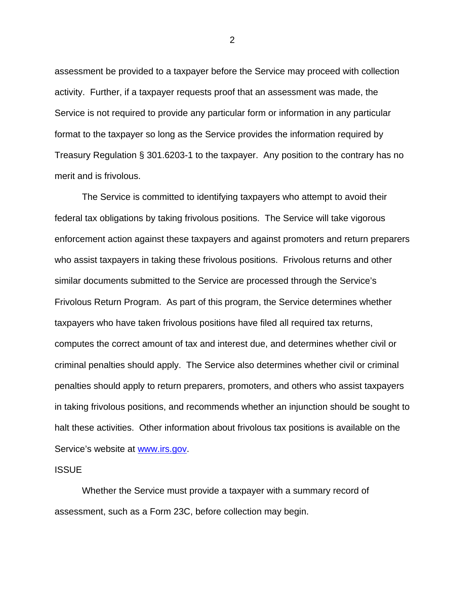assessment be provided to a taxpayer before the Service may proceed with collection activity. Further, if a taxpayer requests proof that an assessment was made, the Service is not required to provide any particular form or information in any particular format to the taxpayer so long as the Service provides the information required by Treasury Regulation § 301.6203-1 to the taxpayer. Any position to the contrary has no merit and is frivolous.

The Service is committed to identifying taxpayers who attempt to avoid their federal tax obligations by taking frivolous positions. The Service will take vigorous enforcement action against these taxpayers and against promoters and return preparers who assist taxpayers in taking these frivolous positions. Frivolous returns and other similar documents submitted to the Service are processed through the Service's Frivolous Return Program. As part of this program, the Service determines whether taxpayers who have taken frivolous positions have filed all required tax returns, computes the correct amount of tax and interest due, and determines whether civil or criminal penalties should apply. The Service also determines whether civil or criminal penalties should apply to return preparers, promoters, and others who assist taxpayers in taking frivolous positions, and recommends whether an injunction should be sought to halt these activities. Other information about frivolous tax positions is available on the Service's website at www.irs.gov.

#### **ISSUE**

Whether the Service must provide a taxpayer with a summary record of assessment, such as a Form 23C, before collection may begin.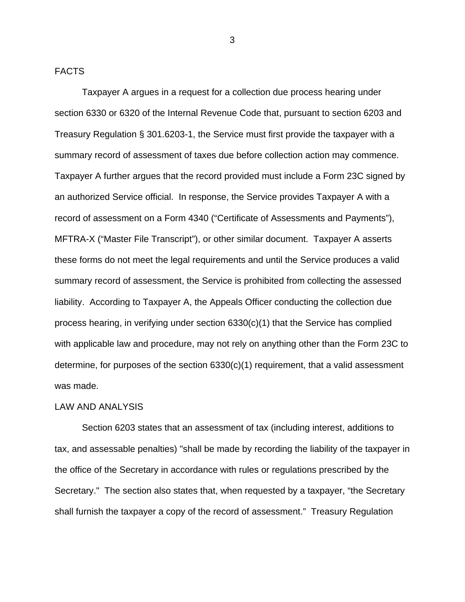### FACTS

Taxpayer A argues in a request for a collection due process hearing under section 6330 or 6320 of the Internal Revenue Code that, pursuant to section 6203 and Treasury Regulation § 301.6203-1, the Service must first provide the taxpayer with a summary record of assessment of taxes due before collection action may commence. Taxpayer A further argues that the record provided must include a Form 23C signed by an authorized Service official. In response, the Service provides Taxpayer A with a record of assessment on a Form 4340 ("Certificate of Assessments and Payments"), MFTRA-X ("Master File Transcript"), or other similar document. Taxpayer A asserts these forms do not meet the legal requirements and until the Service produces a valid summary record of assessment, the Service is prohibited from collecting the assessed liability. According to Taxpayer A, the Appeals Officer conducting the collection due process hearing, in verifying under section 6330(c)(1) that the Service has complied with applicable law and procedure, may not rely on anything other than the Form 23C to determine, for purposes of the section 6330(c)(1) requirement, that a valid assessment was made.

# LAW AND ANALYSIS

Section 6203 states that an assessment of tax (including interest, additions to tax, and assessable penalties) "shall be made by recording the liability of the taxpayer in the office of the Secretary in accordance with rules or regulations prescribed by the Secretary." The section also states that, when requested by a taxpayer, "the Secretary shall furnish the taxpayer a copy of the record of assessment." Treasury Regulation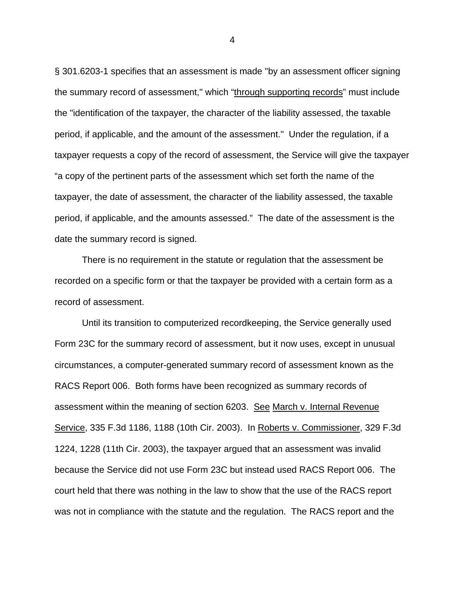§ 301.6203-1 specifies that an assessment is made "by an assessment officer signing the summary record of assessment," which "through supporting records" must include the "identification of the taxpayer, the character of the liability assessed, the taxable period, if applicable, and the amount of the assessment." Under the regulation, if a taxpayer requests a copy of the record of assessment, the Service will give the taxpayer "a copy of the pertinent parts of the assessment which set forth the name of the taxpayer, the date of assessment, the character of the liability assessed, the taxable period, if applicable, and the amounts assessed." The date of the assessment is the date the summary record is signed.

There is no requirement in the statute or regulation that the assessment be recorded on a specific form or that the taxpayer be provided with a certain form as a record of assessment.

Until its transition to computerized recordkeeping, the Service generally used Form 23C for the summary record of assessment, but it now uses, except in unusual circumstances, a computer-generated summary record of assessment known as the RACS Report 006. Both forms have been recognized as summary records of assessment within the meaning of section 6203. See March v. Internal Revenue Service, 335 F.3d 1186, 1188 (10th Cir. 2003). In Roberts v. Commissioner, 329 F.3d 1224, 1228 (11th Cir. 2003), the taxpayer argued that an assessment was invalid because the Service did not use Form 23C but instead used RACS Report 006. The court held that there was nothing in the law to show that the use of the RACS report was not in compliance with the statute and the regulation. The RACS report and the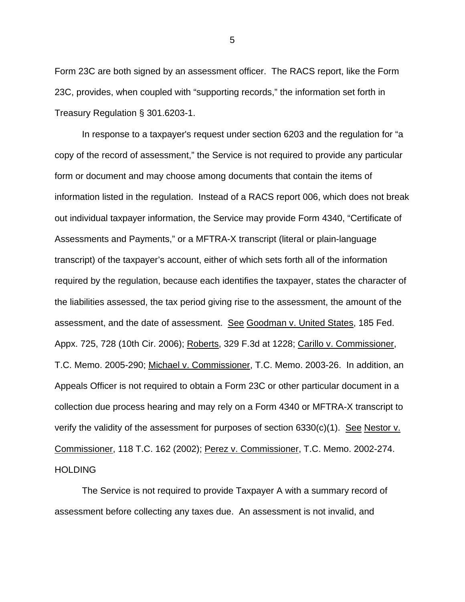Form 23C are both signed by an assessment officer. The RACS report, like the Form 23C, provides, when coupled with "supporting records," the information set forth in Treasury Regulation § 301.6203-1.

In response to a taxpayer's request under section 6203 and the regulation for "a copy of the record of assessment," the Service is not required to provide any particular form or document and may choose among documents that contain the items of information listed in the regulation. Instead of a RACS report 006, which does not break out individual taxpayer information, the Service may provide Form 4340, "Certificate of Assessments and Payments," or a MFTRA-X transcript (literal or plain-language transcript) of the taxpayer's account, either of which sets forth all of the information required by the regulation, because each identifies the taxpayer, states the character of the liabilities assessed, the tax period giving rise to the assessment, the amount of the assessment, and the date of assessment. See Goodman v. United States, 185 Fed. Appx. 725, 728 (10th Cir. 2006); Roberts, 329 F.3d at 1228; Carillo v. Commissioner, T.C. Memo. 2005-290; Michael v. Commissioner, T.C. Memo. 2003-26. In addition, an Appeals Officer is not required to obtain a Form 23C or other particular document in a collection due process hearing and may rely on a Form 4340 or MFTRA-X transcript to verify the validity of the assessment for purposes of section 6330(c)(1). See Nestor v. Commissioner, 118 T.C. 162 (2002); Perez v. Commissioner, T.C. Memo. 2002-274. **HOLDING** 

 The Service is not required to provide Taxpayer A with a summary record of assessment before collecting any taxes due. An assessment is not invalid, and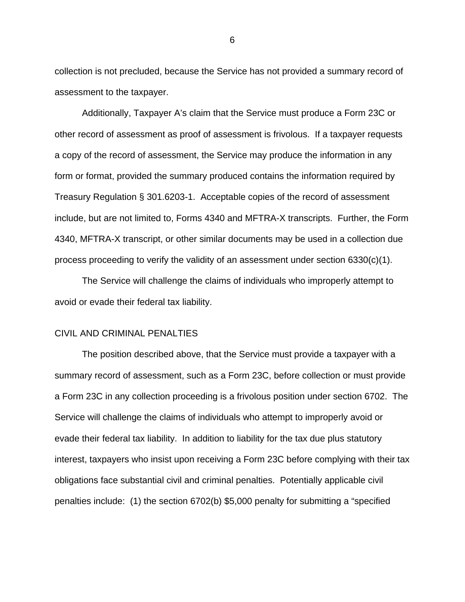collection is not precluded, because the Service has not provided a summary record of assessment to the taxpayer.

Additionally, Taxpayer A's claim that the Service must produce a Form 23C or other record of assessment as proof of assessment is frivolous. If a taxpayer requests a copy of the record of assessment, the Service may produce the information in any form or format, provided the summary produced contains the information required by Treasury Regulation § 301.6203-1. Acceptable copies of the record of assessment include, but are not limited to, Forms 4340 and MFTRA-X transcripts. Further, the Form 4340, MFTRA-X transcript, or other similar documents may be used in a collection due process proceeding to verify the validity of an assessment under section 6330(c)(1).

The Service will challenge the claims of individuals who improperly attempt to avoid or evade their federal tax liability.

#### CIVIL AND CRIMINAL PENALTIES

 The position described above, that the Service must provide a taxpayer with a summary record of assessment, such as a Form 23C, before collection or must provide a Form 23C in any collection proceeding is a frivolous position under section 6702. The Service will challenge the claims of individuals who attempt to improperly avoid or evade their federal tax liability. In addition to liability for the tax due plus statutory interest, taxpayers who insist upon receiving a Form 23C before complying with their tax obligations face substantial civil and criminal penalties. Potentially applicable civil penalties include: (1) the section 6702(b) \$5,000 penalty for submitting a "specified